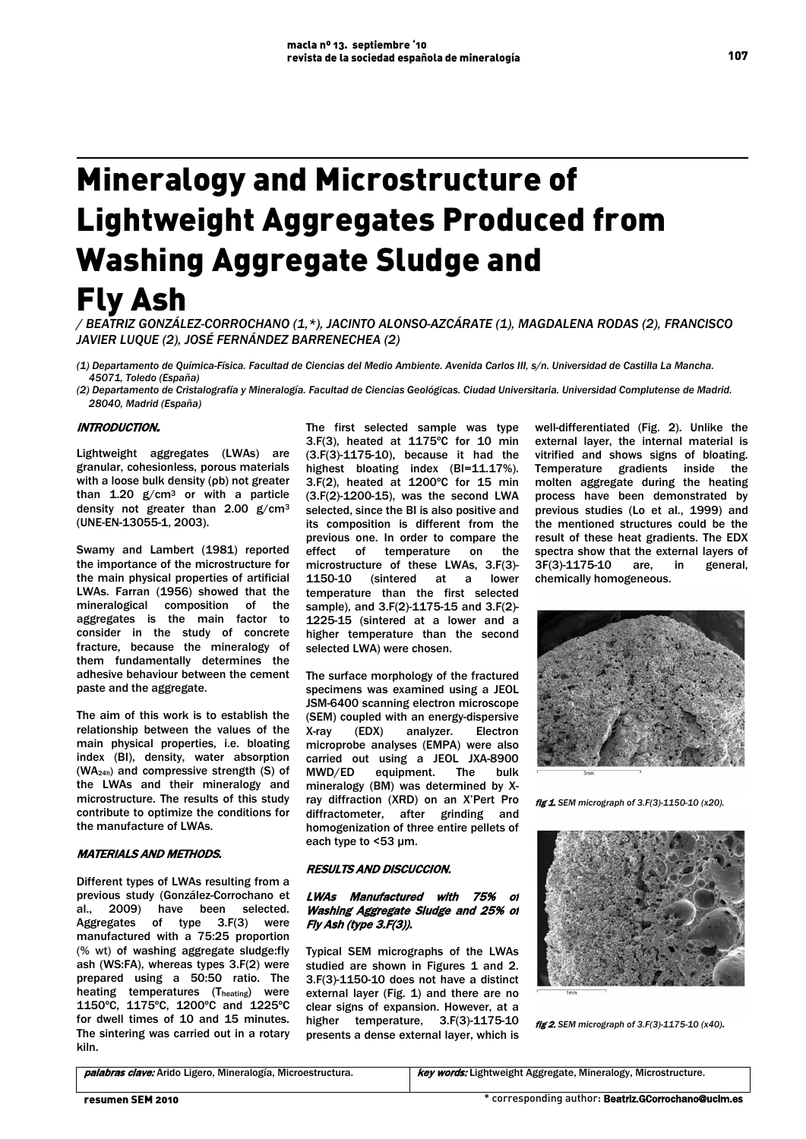# Mineralogy and Microstructure of Lightweight Aggregates Produced from Washing Aggregate Sludge and Fly Ash

*/ BEATRIZ GONZÁLEZ-CORROCHANO (1,\*), JACINTO ALONSO-AZCÁRATE (1), MAGDALENA RODAS (2), FRANCISCO JAVIER LUQUE (2), JOSÉ FERNÁNDEZ BARRENECHEA (2)*

*(1) Departamento de Química-Física. Facultad de Ciencias del Medio Ambiente. Avenida Carlos III, s/n. Universidad de Castilla La Mancha. 45071, Toledo (España)*

*(2) Departamento de Cristalografía y Mineralogía. Facultad de Ciencias Geológicas. Ciudad Universitaria. Universidad Complutense de Madrid. 28040, Madrid (España)*

## INTRODUCTION.

Lightweight aggregates (LWAs) are granular, cohesionless, porous materials with a loose bulk density (ρb) not greater than 1.20 g/cm3 or with a particle density not greater than 2.00 g/cm3 (UNE-EN-13055-1, 2003).

Swamy and Lambert (1981) reported the importance of the microstructure for the main physical properties of artificial LWAs. Farran (1956) showed that the mineralogical composition of the aggregates is the main factor to consider in the study of concrete fracture, because the mineralogy of them fundamentally determines the adhesive behaviour between the cement paste and the aggregate.

The aim of this work is to establish the relationship between the values of the main physical properties, i.e. bloating index (BI), density, water absorption  $(WA<sub>24h</sub>)$  and compressive strength  $(S)$  of the LWAs and their mineralogy and microstructure. The results of this study contribute to optimize the conditions for the manufacture of LWAs.

### MATERIALS AND METHODS.

Different types of LWAs resulting from a previous study (González-Corrochano et al., 2009) have been selected. Aggregates of type 3.F(3) were manufactured with a 75:25 proportion (% wt) of washing aggregate sludge:fly ash (WS:FA), whereas types 3.F(2) were prepared using a 50:50 ratio. The heating temperatures (Theating) were 1150ºC, 1175ºC, 1200ºC and 1225ºC for dwell times of 10 and 15 minutes. The sintering was carried out in a rotary kiln.

The first selected sample was type 3.F(3), heated at 1175ºC for 10 min (3.F(3)-1175-10), because it had the highest bloating index (BI=11.17%). 3.F(2), heated at 1200ºC for 15 min (3.F(2)-1200-15), was the second LWA selected, since the BI is also positive and its composition is different from the previous one. In order to compare the effect of temperature on the microstructure of these LWAs, 3.F(3)- 1150-10 (sintered at a lower temperature than the first selected sample), and 3.F(2)-1175-15 and 3.F(2)- 1225-15 (sintered at a lower and a higher temperature than the second selected LWA) were chosen.

The surface morphology of the fractured specimens was examined using a JEOL JSM-6400 scanning electron microscope (SEM) coupled with an energy-dispersive X-ray (EDX) analyzer. Electron microprobe analyses (EMPA) were also carried out using a JEOL JXA-8900 MWD/ED equipment. The bulk mineralogy (BM) was determined by Xray diffraction (XRD) on an X'Pert Pro diffractometer, after grinding and homogenization of three entire pellets of each type to <53 μm.

#### RESULTS AND DISCUCCION.

## LWAs Manufactured with 75% of Washing Aggregate Sludge and 25% of Fly Ash (type 3.F(3)).

Typical SEM micrographs of the LWAs studied are shown in Figures 1 and 2. 3.F(3)-1150-10 does not have a distinct external layer (Fig. 1) and there are no clear signs of expansion. However, at a higher temperature, 3.F(3)-1175-10 presents a dense external layer, which is well-differentiated (Fig. 2). Unlike the external layer, the internal material is vitrified and shows signs of bloating. Temperature gradients inside the molten aggregate during the heating process have been demonstrated by previous studies (Lo et al., 1999) and the mentioned structures could be the result of these heat gradients. The EDX spectra show that the external layers of 3F(3)-1175-10 are, in general, chemically homogeneous.



fig 1. *SEM micrograph of 3.F(3)-1150-10 (x20).* 



fig 2. *SEM micrograph of 3.F(3)-1175-10 (x40).* 

palabras clave: Árido Ligero, Mineralogía, Microestructura. key words: Lightweight Aggregate, Mineralogy, Microstructure.